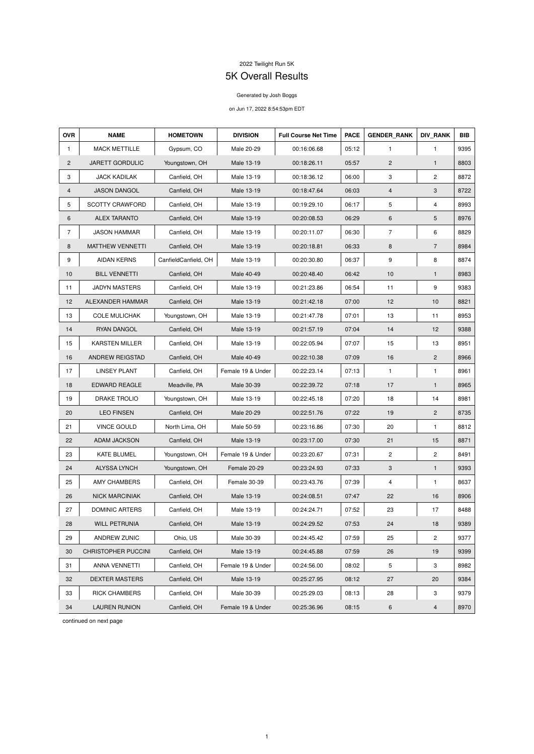## 2022 Twilight Run 5K

## 5K Overall Results

## Generated by Josh Boggs

## on Jun 17, 2022 8:54:53pm EDT

| <b>OVR</b>     | <b>NAME</b>             | <b>HOMETOWN</b>      | <b>DIVISION</b>   | <b>Full Course Net Time</b> | <b>PACE</b> | <b>GENDER RANK</b> | <b>DIV RANK</b> | <b>BIB</b> |
|----------------|-------------------------|----------------------|-------------------|-----------------------------|-------------|--------------------|-----------------|------------|
| 1              | <b>MACK METTILLE</b>    | Gypsum, CO           | Male 20-29        | 00:16:06.68                 | 05:12       | $\mathbf{1}$       | $\mathbf{1}$    | 9395       |
| $\overline{2}$ | JARETT GORDULIC         | Youngstown, OH       | Male 13-19        | 00:18:26.11                 | 05:57       | $\overline{c}$     | $\mathbf{1}$    | 8803       |
| 3              | <b>JACK KADILAK</b>     | Canfield, OH         | Male 13-19        | 00:18:36.12                 | 06:00       | 3                  | $\overline{2}$  | 8872       |
| 4              | <b>JASON DANGOL</b>     | Canfield, OH         | Male 13-19        | 00:18:47.64                 | 06:03       | $\overline{4}$     | 3               | 8722       |
| 5              | <b>SCOTTY CRAWFORD</b>  | Canfield, OH         | Male 13-19        | 00:19:29.10                 | 06:17       | 5                  | 4               | 8993       |
| 6              | <b>ALEX TARANTO</b>     | Canfield, OH         | Male 13-19        | 00:20:08.53                 | 06:29       | 6                  | 5               | 8976       |
| $\overline{7}$ | <b>JASON HAMMAR</b>     | Canfield, OH         | Male 13-19        | 00:20:11.07                 | 06:30       | $\overline{7}$     | 6               | 8829       |
| 8              | <b>MATTHEW VENNETTI</b> | Canfield, OH         | Male 13-19        | 00:20:18.81                 | 06:33       | 8                  | $\overline{7}$  | 8984       |
| 9              | <b>AIDAN KERNS</b>      | CanfieldCanfield, OH | Male 13-19        | 00:20:30.80                 | 06:37       | 9                  | 8               | 8874       |
| 10             | <b>BILL VENNETTI</b>    | Canfield, OH         | Male 40-49        | 00:20:48.40                 | 06:42       | 10                 | $\mathbf{1}$    | 8983       |
| 11             | <b>JADYN MASTERS</b>    | Canfield, OH         | Male 13-19        | 00:21:23.86                 | 06:54       | 11                 | 9               | 9383       |
| 12             | ALEXANDER HAMMAR        | Canfield, OH         | Male 13-19        | 00:21:42.18                 | 07:00       | 12                 | 10              | 8821       |
| 13             | <b>COLE MULICHAK</b>    | Youngstown, OH       | Male 13-19        | 00:21:47.78                 | 07:01       | 13                 | 11              | 8953       |
| 14             | RYAN DANGOL             | Canfield, OH         | Male 13-19        | 00:21:57.19                 | 07:04       | 14                 | 12              | 9388       |
| 15             | <b>KARSTEN MILLER</b>   | Canfield, OH         | Male 13-19        | 00:22:05.94                 | 07:07       | 15                 | 13              | 8951       |
| 16             | ANDREW REIGSTAD         | Canfield, OH         | Male 40-49        | 00:22:10.38                 | 07:09       | 16                 | $\overline{2}$  | 8966       |
| 17             | <b>LINSEY PLANT</b>     | Canfield, OH         | Female 19 & Under | 00:22:23.14                 | 07:13       | $\mathbf{1}$       | 1               | 8961       |
| 18             | <b>EDWARD REAGLE</b>    | Meadville, PA        | Male 30-39        | 00:22:39.72                 | 07:18       | 17                 | $\mathbf{1}$    | 8965       |
| 19             | <b>DRAKE TROLIO</b>     | Youngstown, OH       | Male 13-19        | 00:22:45.18                 | 07:20       | 18                 | 14              | 8981       |
| 20             | <b>LEO FINSEN</b>       | Canfield, OH         | Male 20-29        | 00:22:51.76                 | 07:22       | 19                 | $\overline{2}$  | 8735       |
| 21             | <b>VINCE GOULD</b>      | North Lima, OH       | Male 50-59        | 00:23:16.86                 | 07:30       | 20                 | $\mathbf{1}$    | 8812       |
| 22             | ADAM JACKSON            | Canfield, OH         | Male 13-19        | 00:23:17.00                 | 07:30       | 21                 | 15              | 8871       |
| 23             | <b>KATE BLUMEL</b>      | Youngstown, OH       | Female 19 & Under | 00:23:20.67                 | 07:31       | $\mathbf{2}$       | $\overline{c}$  | 8491       |
| 24             | <b>ALYSSA LYNCH</b>     | Youngstown, OH       | Female 20-29      | 00:23:24.93                 | 07:33       | $\mathbf{3}$       | $\mathbf{1}$    | 9393       |
| 25             | <b>AMY CHAMBERS</b>     | Canfield, OH         | Female 30-39      | 00:23:43.76                 | 07:39       | 4                  | $\mathbf{1}$    | 8637       |
| 26             | <b>NICK MARCINIAK</b>   | Canfield, OH         | Male 13-19        | 00:24:08.51                 | 07:47       | 22                 | 16              | 8906       |
| 27             | <b>DOMINIC ARTERS</b>   | Canfield, OH         | Male 13-19        | 00:24:24.71                 | 07:52       | 23                 | 17              | 8488       |
| 28             | <b>WILL PETRUNIA</b>    | Canfield, OH         | Male 13-19        | 00:24:29.52                 | 07:53       | 24                 | 18              | 9389       |
| 29             | ANDREW ZUNIC            | Ohio, US             | Male 30-39        | 00:24:45.42                 | 07:59       | 25                 | $\overline{c}$  | 9377       |
| 30             | CHRISTOPHER PUCCINI     | Canfield, OH         | Male 13-19        | 00:24:45.88                 | 07:59       | 26                 | 19              | 9399       |
| 31             | <b>ANNA VENNETTI</b>    | Canfield, OH         | Female 19 & Under | 00:24:56.00                 | 08:02       | 5                  | 3               | 8982       |
| 32             | <b>DEXTER MASTERS</b>   | Canfield, OH         | Male 13-19        | 00:25:27.95                 | 08:12       | 27                 | 20              | 9384       |
| 33             | <b>RICK CHAMBERS</b>    | Canfield, OH         | Male 30-39        | 00:25:29.03                 | 08:13       | 28                 | 3               | 9379       |
| 34             | <b>LAUREN RUNION</b>    | Canfield, OH         | Female 19 & Under | 00:25:36.96                 | 08:15       | 6                  | $\overline{4}$  | 8970       |

continued on next page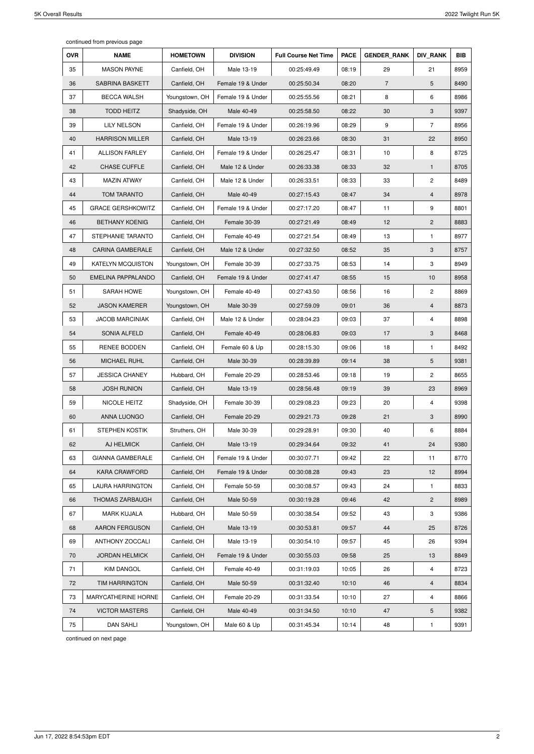continued from previous page

| <b>OVR</b> | <b>NAME</b>              | <b>HOMETOWN</b> | <b>DIVISION</b>   | <b>Full Course Net Time</b> | <b>PACE</b> | <b>GENDER RANK</b> | <b>DIV RANK</b> | <b>BIB</b> |
|------------|--------------------------|-----------------|-------------------|-----------------------------|-------------|--------------------|-----------------|------------|
| 35         | <b>MASON PAYNE</b>       | Canfield, OH    | Male 13-19        | 00:25:49.49                 | 08:19       | 29                 | 21              | 8959       |
| 36         | <b>SABRINA BASKETT</b>   | Canfield, OH    | Female 19 & Under | 00:25:50.34                 | 08:20       | $\overline{7}$     | 5               | 8490       |
| 37         | <b>BECCA WALSH</b>       | Youngstown, OH  | Female 19 & Under | 00:25:55.56                 | 08:21       | 8                  | 6               | 8986       |
| 38         | <b>TODD HEITZ</b>        | Shadyside, OH   | Male 40-49        | 00:25:58.50                 | 08:22       | 30                 | 3               | 9397       |
| 39         | <b>LILY NELSON</b>       | Canfield, OH    | Female 19 & Under | 00:26:19.96                 | 08:29       | 9                  | $\overline{7}$  | 8956       |
| 40         | <b>HARRISON MILLER</b>   | Canfield, OH    | Male 13-19        | 00:26:23.66                 | 08:30       | 31                 | 22              | 8950       |
| 41         | <b>ALLISON FARLEY</b>    | Canfield, OH    | Female 19 & Under | 00:26:25.47                 | 08:31       | 10                 | 8               | 8725       |
| 42         | <b>CHASE CUFFLE</b>      | Canfield, OH    | Male 12 & Under   | 00:26:33.38                 | 08:33       | 32                 | $\mathbf{1}$    | 8705       |
| 43         | <b>MAZIN ATWAY</b>       | Canfield, OH    | Male 12 & Under   | 00:26:33.51                 | 08:33       | 33                 | 2               | 8489       |
| 44         | <b>TOM TARANTO</b>       | Canfield, OH    | Male 40-49        | 00:27:15.43                 | 08:47       | 34                 | $\overline{4}$  | 8978       |
| 45         | <b>GRACE GERSHKOWITZ</b> | Canfield, OH    | Female 19 & Under | 00:27:17.20                 | 08:47       | 11                 | 9               | 8801       |
| 46         | <b>BETHANY KOENIG</b>    | Canfield, OH    | Female 30-39      | 00:27:21.49                 | 08:49       | 12                 | $\mathbf{2}$    | 8883       |
| 47         | STEPHANIE TARANTO        | Canfield, OH    | Female 40-49      | 00:27:21.54                 | 08:49       | 13                 | $\mathbf{1}$    | 8977       |
| 48         | <b>CARINA GAMBERALE</b>  | Canfield, OH    | Male 12 & Under   | 00:27:32.50                 | 08:52       | 35                 | 3               | 8757       |
| 49         | <b>KATELYN MCQUISTON</b> | Youngstown, OH  | Female 30-39      | 00:27:33.75                 | 08:53       | 14                 | 3               | 8949       |
| 50         | EMELINA PAPPALANDO       | Canfield, OH    | Female 19 & Under | 00:27:41.47                 | 08:55       | 15                 | 10              | 8958       |
| 51         | <b>SARAH HOWE</b>        | Youngstown, OH  | Female 40-49      | 00:27:43.50                 | 08:56       | 16                 | 2               | 8869       |
| 52         | <b>JASON KAMERER</b>     | Youngstown, OH  | Male 30-39        | 00:27:59.09                 | 09:01       | 36                 | 4               | 8873       |
| 53         | <b>JACOB MARCINIAK</b>   | Canfield, OH    | Male 12 & Under   | 00:28:04.23                 | 09:03       | 37                 | 4               | 8898       |
| 54         | SONIA ALFELD             | Canfield, OH    | Female 40-49      | 00:28:06.83                 | 09:03       | 17                 | 3               | 8468       |
| 55         | RENEE BODDEN             | Canfield, OH    | Female 60 & Up    | 00:28:15.30                 | 09:06       | 18                 | 1               | 8492       |
| 56         | MICHAEL RUHL             | Canfield, OH    | Male 30-39        | 00:28:39.89                 | 09:14       | 38                 | 5               | 9381       |
| 57         | <b>JESSICA CHANEY</b>    | Hubbard, OH     | Female 20-29      | 00:28:53.46                 | 09:18       | 19                 | 2               | 8655       |
| 58         | <b>JOSH RUNION</b>       | Canfield, OH    | Male 13-19        | 00:28:56.48                 | 09:19       | 39                 | 23              | 8969       |
| 59         | NICOLE HEITZ             | Shadyside, OH   | Female 30-39      | 00:29:08.23                 | 09:23       | 20                 | 4               | 9398       |
| 60         | ANNA LUONGO              | Canfield, OH    | Female 20-29      | 00:29:21.73                 | 09:28       | 21                 | 3               | 8990       |
| 61         | <b>STEPHEN KOSTIK</b>    | Struthers, OH   | Male 30-39        | 00:29:28.91                 | 09:30       | 40                 | 6               | 8884       |
| 62         | AJ HELMICK               | Canfield, OH    | Male 13-19        | 00:29:34.64                 | 09:32       | 41                 | 24              | 9380       |
| 63         | <b>GIANNA GAMBERALE</b>  | Canfield, OH    | Female 19 & Under | 00:30:07.71                 | 09:42       | 22                 | 11              | 8770       |
| 64         | <b>KARA CRAWFORD</b>     | Canfield, OH    | Female 19 & Under | 00:30:08.28                 | 09:43       | 23                 | 12              | 8994       |
| 65         | <b>LAURA HARRINGTON</b>  | Canfield, OH    | Female 50-59      | 00:30:08.57                 | 09:43       | 24                 | $\mathbf{1}$    | 8833       |
| 66         | <b>THOMAS ZARBAUGH</b>   | Canfield, OH    | Male 50-59        | 00:30:19.28                 | 09:46       | 42                 | $\overline{c}$  | 8989       |
| 67         | <b>MARK KUJALA</b>       | Hubbard, OH     | Male 50-59        | 00:30:38.54                 | 09:52       | 43                 | 3               | 9386       |
| 68         | <b>AARON FERGUSON</b>    | Canfield, OH    | Male 13-19        | 00:30:53.81                 | 09:57       | 44                 | 25              | 8726       |
| 69         | <b>ANTHONY ZOCCALI</b>   | Canfield, OH    | Male 13-19        | 00:30:54.10                 | 09:57       | 45                 | 26              | 9394       |
| 70         | <b>JORDAN HELMICK</b>    | Canfield, OH    | Female 19 & Under | 00:30:55.03                 | 09:58       | 25                 | 13              | 8849       |
| 71         | <b>KIM DANGOL</b>        | Canfield, OH    | Female 40-49      | 00:31:19.03                 | 10:05       | 26                 | 4               | 8723       |
| 72         | <b>TIM HARRINGTON</b>    | Canfield, OH    | Male 50-59        | 00:31:32.40                 | 10:10       | 46                 | 4               | 8834       |
| 73         | MARYCATHERINE HORNE      | Canfield, OH    | Female 20-29      | 00:31:33.54                 | 10:10       | 27                 | 4               | 8866       |
| 74         | <b>VICTOR MASTERS</b>    | Canfield, OH    | Male 40-49        | 00:31:34.50                 | 10:10       | 47                 | 5               | 9382       |
| 75         | <b>DAN SAHLI</b>         | Youngstown, OH  | Male 60 & Up      | 00:31:45.34                 | 10:14       | 48                 | $\mathbf{1}$    | 9391       |

continued on next page